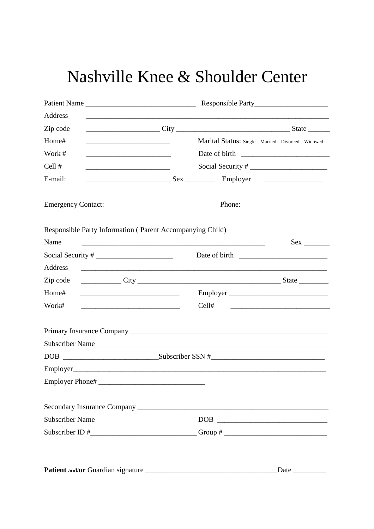| Patient Name    |                                                                                                                                                                                                                                                                                                                                                                                                                                                          |
|-----------------|----------------------------------------------------------------------------------------------------------------------------------------------------------------------------------------------------------------------------------------------------------------------------------------------------------------------------------------------------------------------------------------------------------------------------------------------------------|
| Address         |                                                                                                                                                                                                                                                                                                                                                                                                                                                          |
| Zip code        |                                                                                                                                                                                                                                                                                                                                                                                                                                                          |
| Home#           | Marital Status: Single Married Divorced Widowed<br><u> 1999 - Johann John Stone, mars et al. (</u>                                                                                                                                                                                                                                                                                                                                                       |
| Work #          |                                                                                                                                                                                                                                                                                                                                                                                                                                                          |
| Cell #          |                                                                                                                                                                                                                                                                                                                                                                                                                                                          |
| E-mail:         |                                                                                                                                                                                                                                                                                                                                                                                                                                                          |
|                 |                                                                                                                                                                                                                                                                                                                                                                                                                                                          |
|                 | Responsible Party Information (Parent Accompanying Child)                                                                                                                                                                                                                                                                                                                                                                                                |
| Name            | $Sex \_$<br><u> 1989 - Johann John Stoff, deutscher Stoff und der Stoff und der Stoff und der Stoff und der Stoff und der Sto</u>                                                                                                                                                                                                                                                                                                                        |
|                 |                                                                                                                                                                                                                                                                                                                                                                                                                                                          |
| Address         | <u> 1989 - Johann Harry Barn, mars and deutscher Stadt and deutscher Stadt and deutscher Stadt and deutscher Stadt</u>                                                                                                                                                                                                                                                                                                                                   |
| Zip code        |                                                                                                                                                                                                                                                                                                                                                                                                                                                          |
| Home#           | Employer                                                                                                                                                                                                                                                                                                                                                                                                                                                 |
|                 |                                                                                                                                                                                                                                                                                                                                                                                                                                                          |
| Work#           | Cell#<br><u> Alexandria de la contrada de la contrada de la contrada de la contrada de la contrada de la contrada de la c</u>                                                                                                                                                                                                                                                                                                                            |
|                 |                                                                                                                                                                                                                                                                                                                                                                                                                                                          |
|                 |                                                                                                                                                                                                                                                                                                                                                                                                                                                          |
|                 |                                                                                                                                                                                                                                                                                                                                                                                                                                                          |
|                 |                                                                                                                                                                                                                                                                                                                                                                                                                                                          |
|                 |                                                                                                                                                                                                                                                                                                                                                                                                                                                          |
|                 |                                                                                                                                                                                                                                                                                                                                                                                                                                                          |
| Subscriber Name | $\begin{tabular}{ c c c c } \hline \multicolumn{3}{ c }{\text{DOB}} & \multicolumn{3}{ c }{\text{LOB}} \\ \hline \multicolumn{3}{ c }{\text{DOB}} & \multicolumn{3}{ c }{\text{LOB}} \\ \hline \multicolumn{3}{ c }{\text{DOB}} & \multicolumn{3}{ c }{\text{DOB}} \\ \hline \multicolumn{3}{ c }{\text{DOB}} & \multicolumn{3}{ c }{\text{DOB}} \\ \hline \multicolumn{3}{ c }{\text{DOB}} & \multicolumn{3}{ c }{\text{DOB}} \\ \hline \multicolumn{3$ |

**Patient and/or** Guardian signature \_\_\_\_\_\_\_\_\_\_\_\_\_\_\_\_\_\_\_\_\_\_\_\_\_\_\_\_\_\_\_\_\_\_\_\_Date \_\_\_\_\_\_\_\_\_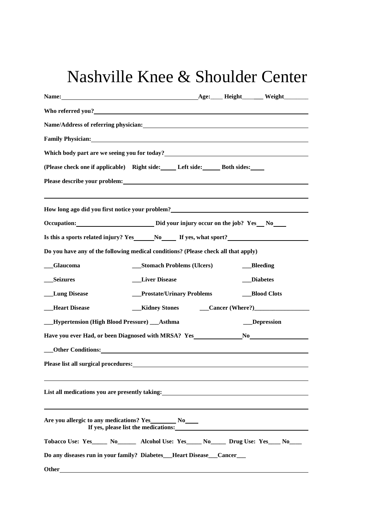|                      | Name/Address of referring physician: Name of the control of the control of the control of the control of the control of the control of the control of the control of the control of the control of the control of the control          |                            |
|----------------------|----------------------------------------------------------------------------------------------------------------------------------------------------------------------------------------------------------------------------------------|----------------------------|
|                      | <b>Family Physician:</b> The Company of the Company of the Company of the Company of the Company of the Company of the Company of the Company of the Company of the Company of the Company of the Company of the Company of the Com    |                            |
|                      | Which body part are we seeing you for today?<br><u>Letting</u> the second second second second second second second second second second second second second second second second second second second second second second second s  |                            |
|                      | (Please check one if applicable) Right side: Left side: Both sides:                                                                                                                                                                    |                            |
|                      | Please describe your problem: the contract of the contract of the contract of the contract of the contract of the contract of the contract of the contract of the contract of the contract of the contract of the contract of          |                            |
|                      | How long ago did you first notice your problem?<br><u>Letter and the set of the set of the set of the set of the set of the set of the set of the set of the set of the set of the set of the set of the set of the set of the set</u> |                            |
|                      | Occupation: Did your injury occur on the job? Yes No                                                                                                                                                                                   |                            |
|                      | Is this a sports related injury? Yes _______No________ If yes, what sport?__________________________                                                                                                                                   |                            |
|                      | Do you have any of the following medical conditions? (Please check all that apply)                                                                                                                                                     |                            |
| <b>Glaucoma</b>      | __Stomach Problems (Ulcers)                                                                                                                                                                                                            | <b>Bleeding</b>            |
| <b>Seizures</b>      | <b>Liver Disease</b>                                                                                                                                                                                                                   | <b>Diabetes</b>            |
| <b>Lung Disease</b>  | <b>Prostate/Urinary Problems</b>                                                                                                                                                                                                       | <b>Blood Clots</b>         |
| <b>Heart Disease</b> | <b>Kidney Stones</b>                                                                                                                                                                                                                   | $\text{Cancer (Where?)}\n$ |
|                      | <b>Hypertension (High Blood Pressure) __Asthma</b>                                                                                                                                                                                     | __Depression               |
|                      | Have you ever Had, or been Diagnosed with MRSA? Yes No                                                                                                                                                                                 |                            |
|                      | Other Conditions: Note that the conditions of the conditions of the conditions of the conditions of the conditions of the conditions of the conditions of the conditions of the conditions of the conditions of the conditions         |                            |
|                      | Please list all surgical procedures: <b>Example 2018</b> and 2018 and 2019 and 2019 and 2019 and 2019 and 2019 and 2019 and 2019 and 2019 and 2019 and 2019 and 2019 and 2019 and 2019 and 2019 and 2019 and 2019 and 2019 and 2019    |                            |
|                      | List all medications you are presently taking:<br><u>List</u> all medications you are presently taking:                                                                                                                                |                            |
|                      | Are you allergic to any medications? Yes__________ No_____                                                                                                                                                                             |                            |
|                      | Tobacco Use: Yes_____ No_______ Alcohol Use: Yes_____ No_____ Drug Use: Yes____ No____                                                                                                                                                 |                            |
|                      | Do any diseases run in your family? Diabetes__Heart Disease__Cancer__                                                                                                                                                                  |                            |
| Other_               |                                                                                                                                                                                                                                        |                            |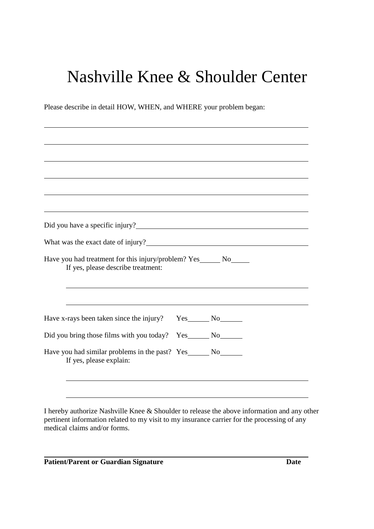Please describe in detail HOW, WHEN, and WHERE your problem began:

 $\overline{a}$ 

| What was the exact date of injury?<br>Have you had treatment for this injury/problem? Yes_______ No______<br>If yes, please describe treatment: |  |  |
|-------------------------------------------------------------------------------------------------------------------------------------------------|--|--|
| Have x-rays been taken since the injury? Yes _______ No________                                                                                 |  |  |
| Did you bring those films with you today? Yes______ No______                                                                                    |  |  |

I hereby authorize Nashville Knee & Shoulder to release the above information and any other pertinent information related to my visit to my insurance carrier for the processing of any medical claims and/or forms.

Patient/Parent or Guardian Signature **Date Date**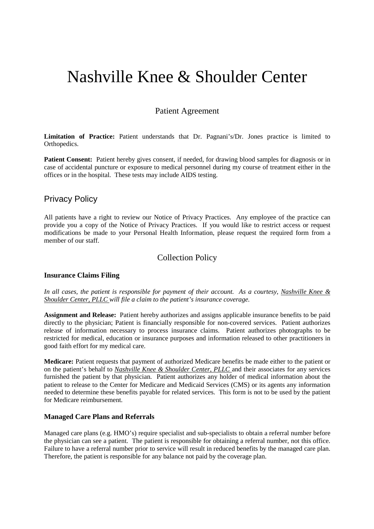Patient Agreement

**Limitation of Practice:** Patient understands that Dr. Pagnani's/Dr. Jones practice is limited to Orthopedics.

**Patient Consent:** Patient hereby gives consent, if needed, for drawing blood samples for diagnosis or in case of accidental puncture or exposure to medical personnel during my course of treatment either in the offices or in the hospital. These tests may include AIDS testing.

#### Privacy Policy

All patients have a right to review our Notice of Privacy Practices. Any employee of the practice can provide you a copy of the Notice of Privacy Practices. If you would like to restrict access or request modifications be made to your Personal Health Information, please request the required form from a member of our staff.

#### Collection Policy

#### **Insurance Claims Filing**

*In all cases, the patient is responsible for payment of their account. As a courtesy, Nashville Knee & Shoulder Center, PLLC will file a claim to the patient's insurance coverage.*

**Assignment and Release:** Patient hereby authorizes and assigns applicable insurance benefits to be paid directly to the physician; Patient is financially responsible for non-covered services. Patient authorizes release of information necessary to process insurance claims. Patient authorizes photographs to be restricted for medical, education or insurance purposes and information released to other practitioners in good faith effort for my medical care.

**Medicare:** Patient requests that payment of authorized Medicare benefits be made either to the patient or on the patient's behalf to *Nashville Knee & Shoulder Center, PLLC* and their associates for any services furnished the patient by that physician. Patient authorizes any holder of medical information about the patient to release to the Center for Medicare and Medicaid Services (CMS) or its agents any information needed to determine these benefits payable for related services. This form is not to be used by the patient for Medicare reimbursement.

#### **Managed Care Plans and Referrals**

Managed care plans (e.g. HMO's) require specialist and sub-specialists to obtain a referral number before the physician can see a patient. The patient is responsible for obtaining a referral number, not this office. Failure to have a referral number prior to service will result in reduced benefits by the managed care plan. Therefore, the patient is responsible for any balance not paid by the coverage plan.